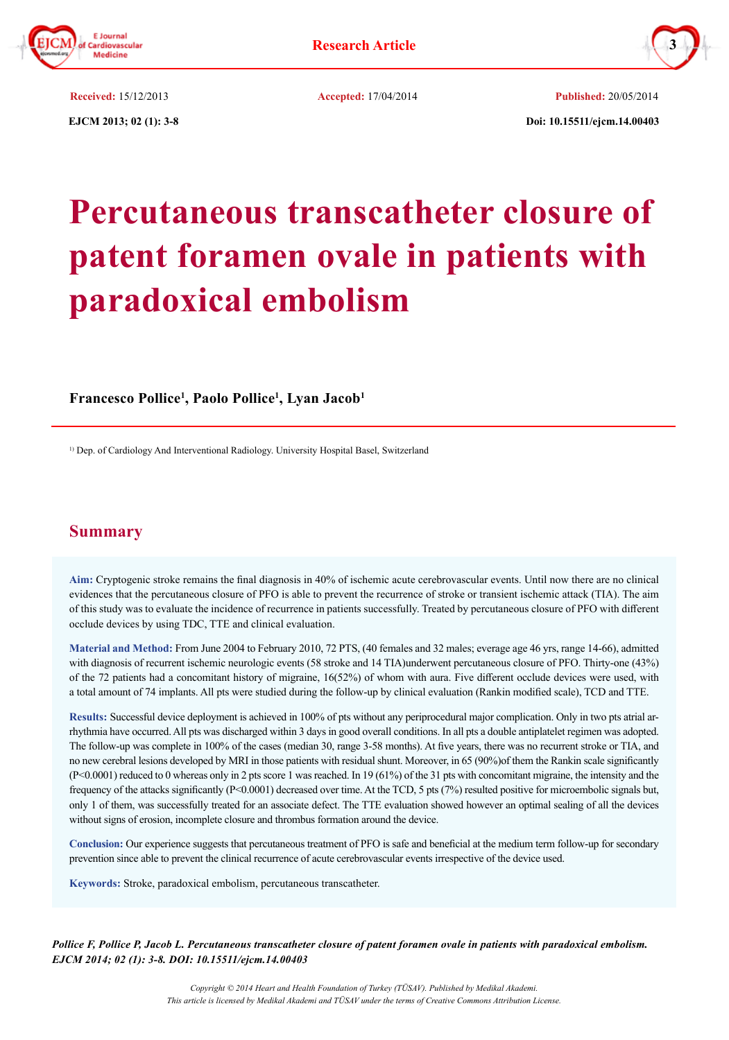



 **EJCM 2013; 02 (1): 3-8 Doi: 10.15511/ejcm.14.00403**

**Received:** 15/12/2013 **Accepted:** 17/04/2014 **Published:** 20/05/2014

**Percutaneous transcatheter closure of patent foramen ovale in patients with paradoxical embolism**

# **Francesco Pollice1 , Paolo Pollice1 , Lyan Jacob1**

<sup>1)</sup> Dep. of Cardiology And Interventional Radiology. University Hospital Basel, Switzerland

# **Summary**

**Aim:** Cryptogenic stroke remains the final diagnosis in 40% of ischemic acute cerebrovascular events. Until now there are no clinical evidences that the percutaneous closure of PFO is able to prevent the recurrence of stroke or transient ischemic attack (TIA). The aim of this study was to evaluate the incidence of recurrence in patients successfully. Treated by percutaneous closure of PFO with different occlude devices by using TDC, TTE and clinical evaluation.

**Material and Method:** From June 2004 to February 2010, 72 PTS, (40 females and 32 males; everage age 46 yrs, range 14-66), admitted with diagnosis of recurrent ischemic neurologic events (58 stroke and 14 TIA)underwent percutaneous closure of PFO. Thirty-one (43%) of the 72 patients had a concomitant history of migraine, 16(52%) of whom with aura. Five different occlude devices were used, with a total amount of 74 implants. All pts were studied during the follow-up by clinical evaluation (Rankin modified scale), TCD and TTE.

**Results:** Successful device deployment is achieved in 100% of pts without any periprocedural major complication. Only in two pts atrial arrhythmia have occurred. All pts was discharged within 3 days in good overall conditions. In all pts a double antiplatelet regimen was adopted. The follow-up was complete in 100% of the cases (median 30, range 3-58 months). At five years, there was no recurrent stroke or TIA, and no new cerebral lesions developed by MRI in those patients with residual shunt. Moreover, in 65 (90%)of them the Rankin scale significantly (P<0.0001) reduced to 0 whereas only in 2 pts score 1 was reached. In 19 (61%) of the 31 pts with concomitant migraine, the intensity and the frequency of the attacks significantly (P<0.0001) decreased over time. At the TCD, 5 pts (7%) resulted positive for microembolic signals but, only 1 of them, was successfully treated for an associate defect. The TTE evaluation showed however an optimal sealing of all the devices without signs of erosion, incomplete closure and thrombus formation around the device.

**Conclusion:** Our experience suggests that percutaneous treatment of PFO is safe and beneficial at the medium term follow-up for secondary prevention since able to prevent the clinical recurrence of acute cerebrovascular events irrespective of the device used.

**Keywords:** Stroke, paradoxical embolism, percutaneous transcatheter.

*Pollice F, Pollice P, Jacob L. Percutaneous transcatheter closure of patent foramen ovale in patients with paradoxical embolism. EJCM 2014; 02 (1): 3-8. DOI: 10.15511/ejcm.14.00403*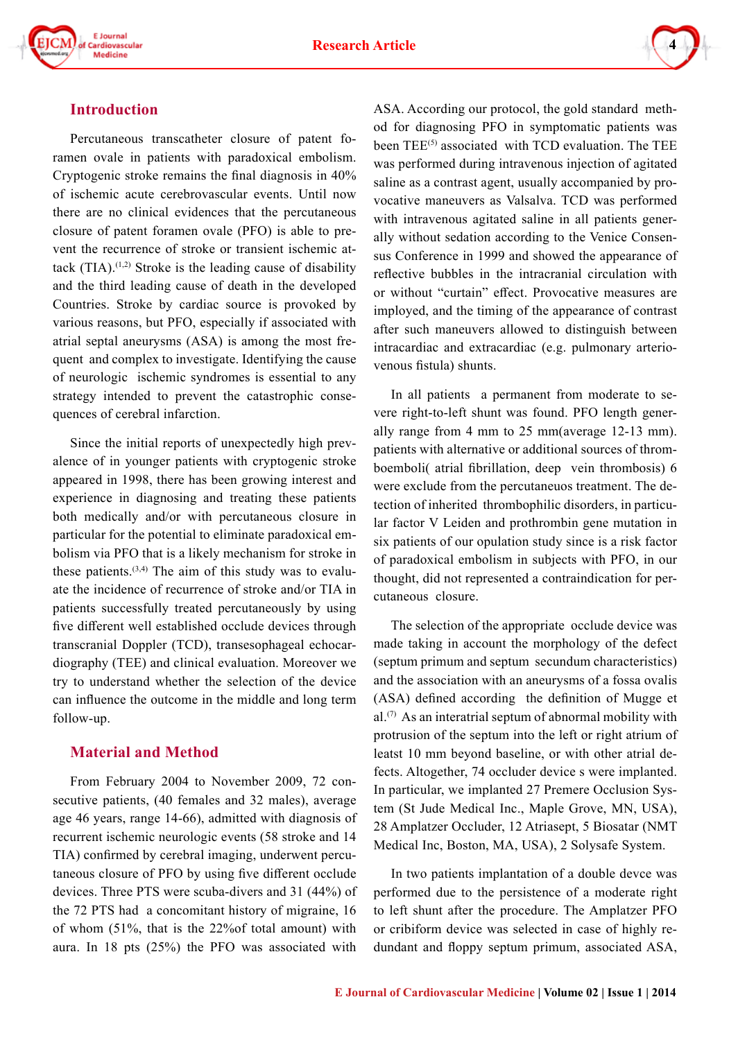



## **Introduction**

Percutaneous transcatheter closure of patent foramen ovale in patients with paradoxical embolism. Cryptogenic stroke remains the final diagnosis in 40% of ischemic acute cerebrovascular events. Until now there are no clinical evidences that the percutaneous closure of patent foramen ovale (PFO) is able to prevent the recurrence of stroke or transient ischemic attack  $(TIA).$ <sup>(1,2)</sup> Stroke is the leading cause of disability and the third leading cause of death in the developed Countries. Stroke by cardiac source is provoked by various reasons, but PFO, especially if associated with atrial septal aneurysms (ASA) is among the most frequent and complex to investigate. Identifying the cause of neurologic ischemic syndromes is essential to any strategy intended to prevent the catastrophic consequences of cerebral infarction.

Since the initial reports of unexpectedly high prevalence of in younger patients with cryptogenic stroke appeared in 1998, there has been growing interest and experience in diagnosing and treating these patients both medically and/or with percutaneous closure in particular for the potential to eliminate paradoxical embolism via PFO that is a likely mechanism for stroke in these patients.<sup> $(3,4)$ </sup> The aim of this study was to evaluate the incidence of recurrence of stroke and/or TIA in patients successfully treated percutaneously by using five different well established occlude devices through transcranial Doppler (TCD), transesophageal echocardiography (TEE) and clinical evaluation. Moreover we try to understand whether the selection of the device can influence the outcome in the middle and long term follow-up.

# **Material and Method**

From February 2004 to November 2009, 72 consecutive patients, (40 females and 32 males), average age 46 years, range 14-66), admitted with diagnosis of recurrent ischemic neurologic events (58 stroke and 14 TIA) confirmed by cerebral imaging, underwent percutaneous closure of PFO by using five different occlude devices. Three PTS were scuba-divers and 31 (44%) of the 72 PTS had a concomitant history of migraine, 16 of whom (51%, that is the 22%of total amount) with aura. In 18 pts (25%) the PFO was associated with

ASA. According our protocol, the gold standard method for diagnosing PFO in symptomatic patients was been  $\text{TEE}^{(5)}$  associated with TCD evaluation. The TEE was performed during intravenous injection of agitated saline as a contrast agent, usually accompanied by provocative maneuvers as Valsalva. TCD was performed with intravenous agitated saline in all patients generally without sedation according to the Venice Consensus Conference in 1999 and showed the appearance of reflective bubbles in the intracranial circulation with or without "curtain" effect. Provocative measures are imployed, and the timing of the appearance of contrast after such maneuvers allowed to distinguish between intracardiac and extracardiac (e.g. pulmonary arteriovenous fistula) shunts.

In all patients a permanent from moderate to severe right-to-left shunt was found. PFO length generally range from 4 mm to 25 mm(average 12-13 mm). patients with alternative or additional sources of thromboemboli( atrial fibrillation, deep vein thrombosis) 6 were exclude from the percutaneuos treatment. The detection of inherited thrombophilic disorders, in particular factor V Leiden and prothrombin gene mutation in six patients of our opulation study since is a risk factor of paradoxical embolism in subjects with PFO, in our thought, did not represented a contraindication for percutaneous closure.

The selection of the appropriate occlude device was made taking in account the morphology of the defect (septum primum and septum secundum characteristics) and the association with an aneurysms of a fossa ovalis (ASA) defined according the definition of Mugge et  $al^{(7)}$  As an interatrial septum of abnormal mobility with protrusion of the septum into the left or right atrium of leatst 10 mm beyond baseline, or with other atrial defects. Altogether, 74 occluder device s were implanted. In particular, we implanted 27 Premere Occlusion System (St Jude Medical Inc., Maple Grove, MN, USA), 28 Amplatzer Occluder, 12 Atriasept, 5 Biosatar (NMT Medical Inc, Boston, MA, USA), 2 Solysafe System.

In two patients implantation of a double devce was performed due to the persistence of a moderate right to left shunt after the procedure. The Amplatzer PFO or cribiform device was selected in case of highly redundant and floppy septum primum, associated ASA,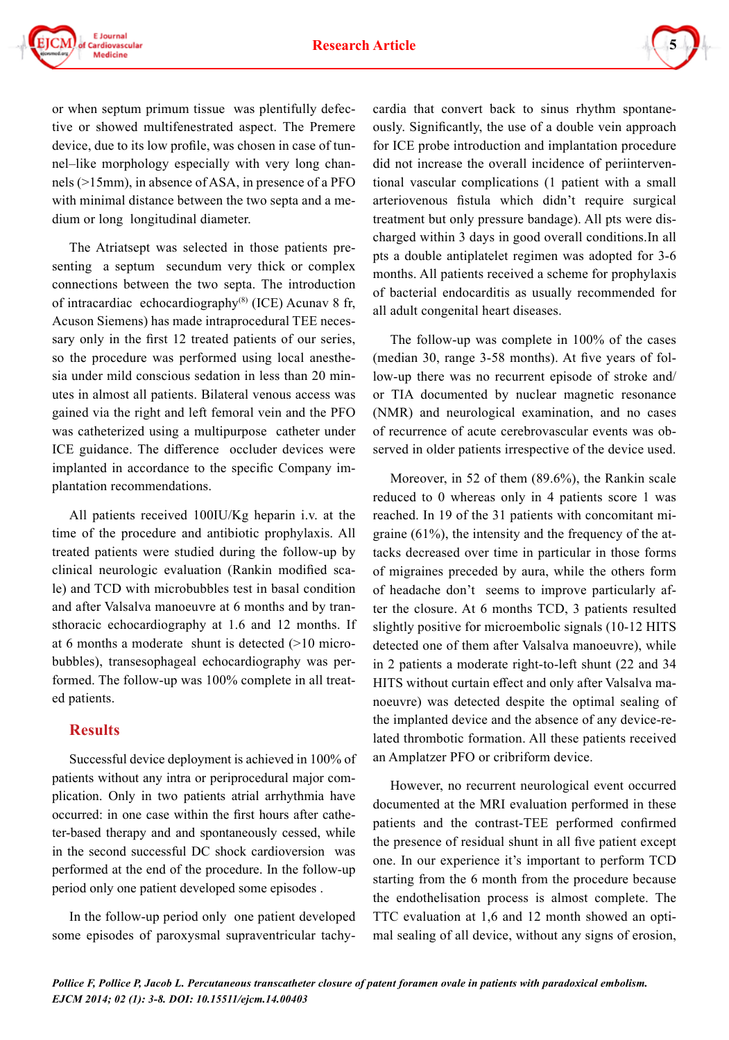

or when septum primum tissue was plentifully defective or showed multifenestrated aspect. The Premere device, due to its low profile, was chosen in case of tunnel–like morphology especially with very long channels (>15mm), in absence of ASA, in presence of a PFO with minimal distance between the two septa and a medium or long longitudinal diameter.

The Atriatsept was selected in those patients presenting a septum secundum very thick or complex connections between the two septa. The introduction of intracardiac echocardiography $(8)$  (ICE) Acunav 8 fr, Acuson Siemens) has made intraprocedural TEE necessary only in the first 12 treated patients of our series, so the procedure was performed using local anesthesia under mild conscious sedation in less than 20 minutes in almost all patients. Bilateral venous access was gained via the right and left femoral vein and the PFO was catheterized using a multipurpose catheter under ICE guidance. The difference occluder devices were implanted in accordance to the specific Company implantation recommendations.

All patients received 100IU/Kg heparin i.v. at the time of the procedure and antibiotic prophylaxis. All treated patients were studied during the follow-up by clinical neurologic evaluation (Rankin modified scale) and TCD with microbubbles test in basal condition and after Valsalva manoeuvre at 6 months and by transthoracic echocardiography at 1.6 and 12 months. If at 6 months a moderate shunt is detected (>10 microbubbles), transesophageal echocardiography was performed. The follow-up was 100% complete in all treated patients.

### **Results**

Successful device deployment is achieved in 100% of patients without any intra or periprocedural major complication. Only in two patients atrial arrhythmia have occurred: in one case within the first hours after catheter-based therapy and and spontaneously cessed, while in the second successful DC shock cardioversion was performed at the end of the procedure. In the follow-up period only one patient developed some episodes .

In the follow-up period only one patient developed some episodes of paroxysmal supraventricular tachycardia that convert back to sinus rhythm spontaneously. Significantly, the use of a double vein approach for ICE probe introduction and implantation procedure did not increase the overall incidence of periinterventional vascular complications (1 patient with a small arteriovenous fistula which didn't require surgical treatment but only pressure bandage). All pts were discharged within 3 days in good overall conditions.In all pts a double antiplatelet regimen was adopted for 3-6 months. All patients received a scheme for prophylaxis of bacterial endocarditis as usually recommended for all adult congenital heart diseases.

The follow-up was complete in 100% of the cases (median 30, range 3-58 months). At five years of follow-up there was no recurrent episode of stroke and/ or TIA documented by nuclear magnetic resonance (NMR) and neurological examination, and no cases of recurrence of acute cerebrovascular events was observed in older patients irrespective of the device used.

Moreover, in 52 of them (89.6%), the Rankin scale reduced to 0 whereas only in 4 patients score 1 was reached. In 19 of the 31 patients with concomitant migraine (61%), the intensity and the frequency of the attacks decreased over time in particular in those forms of migraines preceded by aura, while the others form of headache don't seems to improve particularly after the closure. At 6 months TCD, 3 patients resulted slightly positive for microembolic signals (10-12 HITS detected one of them after Valsalva manoeuvre), while in 2 patients a moderate right-to-left shunt (22 and 34 HITS without curtain effect and only after Valsalva manoeuvre) was detected despite the optimal sealing of the implanted device and the absence of any device-related thrombotic formation. All these patients received an Amplatzer PFO or cribriform device.

However, no recurrent neurological event occurred documented at the MRI evaluation performed in these patients and the contrast-TEE performed confirmed the presence of residual shunt in all five patient except one. In our experience it's important to perform TCD starting from the 6 month from the procedure because the endothelisation process is almost complete. The TTC evaluation at 1,6 and 12 month showed an optimal sealing of all device, without any signs of erosion,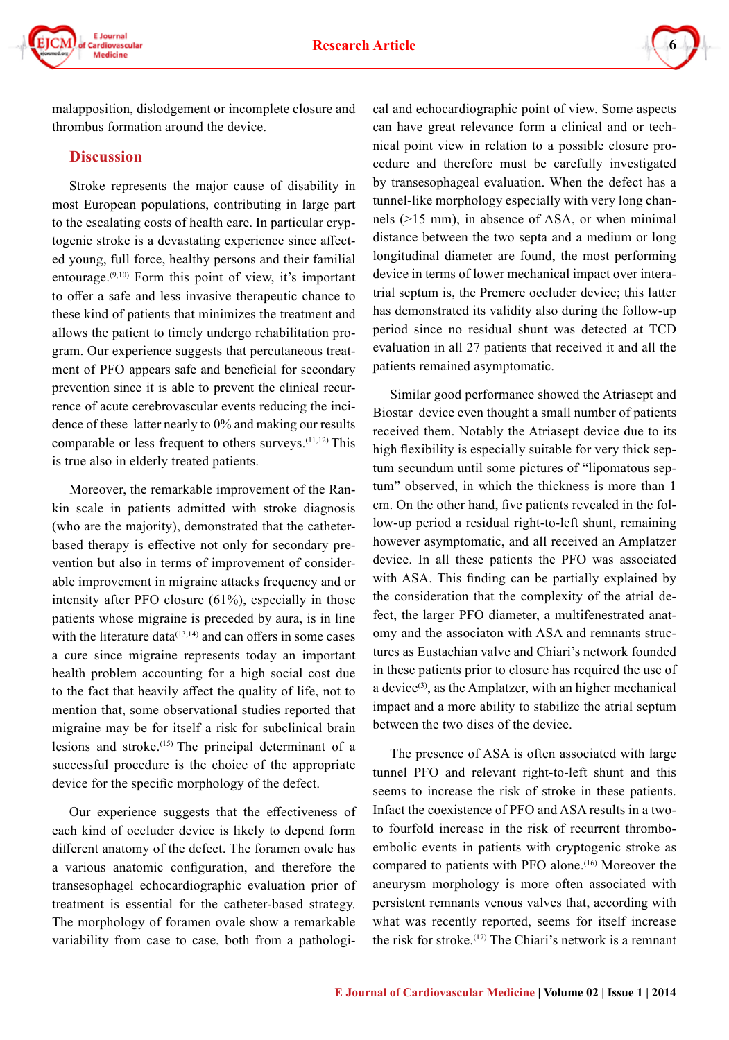



malapposition, dislodgement or incomplete closure and thrombus formation around the device.

#### **Discussion**

Stroke represents the major cause of disability in most European populations, contributing in large part to the escalating costs of health care. In particular cryptogenic stroke is a devastating experience since affected young, full force, healthy persons and their familial entourage. $(9,10)$  Form this point of view, it's important to offer a safe and less invasive therapeutic chance to these kind of patients that minimizes the treatment and allows the patient to timely undergo rehabilitation program. Our experience suggests that percutaneous treatment of PFO appears safe and beneficial for secondary prevention since it is able to prevent the clinical recurrence of acute cerebrovascular events reducing the incidence of these latter nearly to 0% and making our results comparable or less frequent to others surveys.(11,12) This is true also in elderly treated patients.

Moreover, the remarkable improvement of the Rankin scale in patients admitted with stroke diagnosis (who are the majority), demonstrated that the catheterbased therapy is effective not only for secondary prevention but also in terms of improvement of considerable improvement in migraine attacks frequency and or intensity after PFO closure (61%), especially in those patients whose migraine is preceded by aura, is in line with the literature data $(13,14)$  and can offers in some cases a cure since migraine represents today an important health problem accounting for a high social cost due to the fact that heavily affect the quality of life, not to mention that, some observational studies reported that migraine may be for itself a risk for subclinical brain lesions and stroke.(15) The principal determinant of a successful procedure is the choice of the appropriate device for the specific morphology of the defect.

Our experience suggests that the effectiveness of each kind of occluder device is likely to depend form different anatomy of the defect. The foramen ovale has a various anatomic configuration, and therefore the transesophagel echocardiographic evaluation prior of treatment is essential for the catheter-based strategy. The morphology of foramen ovale show a remarkable variability from case to case, both from a pathological and echocardiographic point of view. Some aspects can have great relevance form a clinical and or technical point view in relation to a possible closure procedure and therefore must be carefully investigated by transesophageal evaluation. When the defect has a tunnel-like morphology especially with very long channels (>15 mm), in absence of ASA, or when minimal distance between the two septa and a medium or long longitudinal diameter are found, the most performing device in terms of lower mechanical impact over interatrial septum is, the Premere occluder device; this latter has demonstrated its validity also during the follow-up period since no residual shunt was detected at TCD evaluation in all 27 patients that received it and all the patients remained asymptomatic.

Similar good performance showed the Atriasept and Biostar device even thought a small number of patients received them. Notably the Atriasept device due to its high flexibility is especially suitable for very thick septum secundum until some pictures of "lipomatous septum" observed, in which the thickness is more than 1 cm. On the other hand, five patients revealed in the follow-up period a residual right-to-left shunt, remaining however asymptomatic, and all received an Amplatzer device. In all these patients the PFO was associated with ASA. This finding can be partially explained by the consideration that the complexity of the atrial defect, the larger PFO diameter, a multifenestrated anatomy and the associaton with ASA and remnants structures as Eustachian valve and Chiari's network founded in these patients prior to closure has required the use of a device $(3)$ , as the Amplatzer, with an higher mechanical impact and a more ability to stabilize the atrial septum between the two discs of the device.

The presence of ASA is often associated with large tunnel PFO and relevant right-to-left shunt and this seems to increase the risk of stroke in these patients. Infact the coexistence of PFO and ASA results in a twoto fourfold increase in the risk of recurrent thromboembolic events in patients with cryptogenic stroke as compared to patients with PFO alone.<sup>(16)</sup> Moreover the aneurysm morphology is more often associated with persistent remnants venous valves that, according with what was recently reported, seems for itself increase the risk for stroke.<sup> $(17)$ </sup> The Chiari's network is a remnant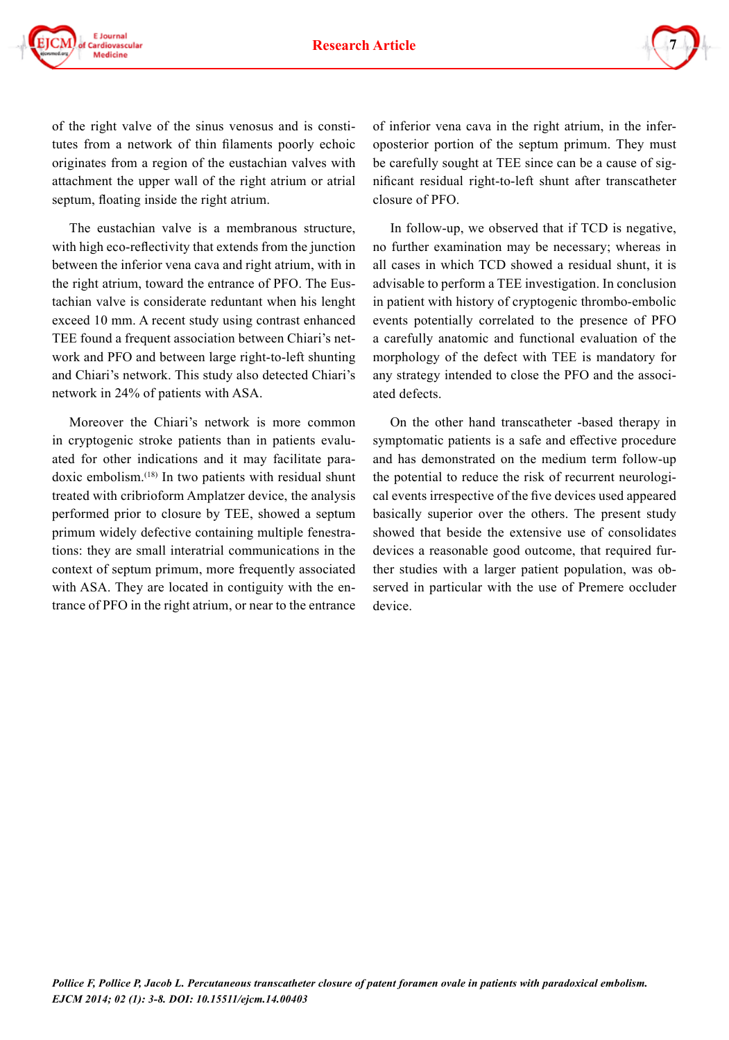

of the right valve of the sinus venosus and is constitutes from a network of thin filaments poorly echoic originates from a region of the eustachian valves with attachment the upper wall of the right atrium or atrial septum, floating inside the right atrium.

The eustachian valve is a membranous structure, with high eco-reflectivity that extends from the junction between the inferior vena cava and right atrium, with in the right atrium, toward the entrance of PFO. The Eustachian valve is considerate reduntant when his lenght exceed 10 mm. A recent study using contrast enhanced TEE found a frequent association between Chiari's network and PFO and between large right-to-left shunting and Chiari's network. This study also detected Chiari's network in 24% of patients with ASA.

Moreover the Chiari's network is more common in cryptogenic stroke patients than in patients evaluated for other indications and it may facilitate paradoxic embolism.(18) In two patients with residual shunt treated with cribrioform Amplatzer device, the analysis performed prior to closure by TEE, showed a septum primum widely defective containing multiple fenestrations: they are small interatrial communications in the context of septum primum, more frequently associated with ASA. They are located in contiguity with the entrance of PFO in the right atrium, or near to the entrance of inferior vena cava in the right atrium, in the inferoposterior portion of the septum primum. They must be carefully sought at TEE since can be a cause of significant residual right-to-left shunt after transcatheter closure of PFO.

In follow-up, we observed that if TCD is negative, no further examination may be necessary; whereas in all cases in which TCD showed a residual shunt, it is advisable to perform a TEE investigation. In conclusion in patient with history of cryptogenic thrombo-embolic events potentially correlated to the presence of PFO a carefully anatomic and functional evaluation of the morphology of the defect with TEE is mandatory for any strategy intended to close the PFO and the associated defects.

On the other hand transcatheter -based therapy in symptomatic patients is a safe and effective procedure and has demonstrated on the medium term follow-up the potential to reduce the risk of recurrent neurological events irrespective of the five devices used appeared basically superior over the others. The present study showed that beside the extensive use of consolidates devices a reasonable good outcome, that required further studies with a larger patient population, was observed in particular with the use of Premere occluder device.